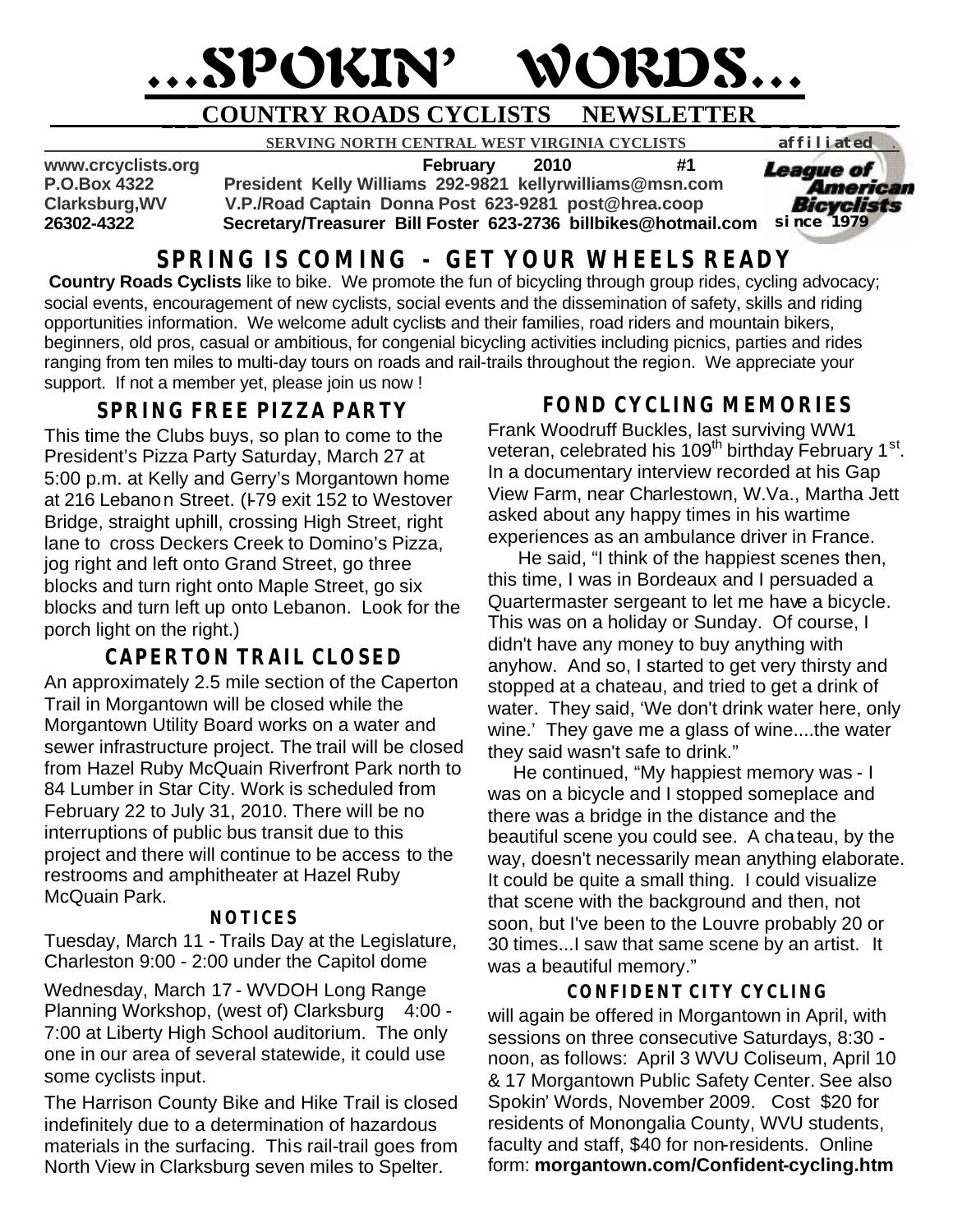# …SPOKIN' WORDS…

# **\_\_\_COUNTRY ROADS CYCLISTS NEWSLETTER \_ \_ \_\_ \_ \_**

 **SERVING NORTH CENTRAL WEST VIRGINIA CYCLISTS** *affiliated .* 

**www.crcyclists.org February 2010 #1**

**P.O.Box 4322 President Kelly Williams 292-9821 kellyrwilliams@msn.com**

**Clarksburg,WV V.P./Road Captain Donna Post 623-9281 post@hrea.coop**

**26302-4322 Secretary/Treasurer Bill Foster 623-2736 billbikes@hotmail.com**  *since 1979*

# **SPRING IS COMING - GET YOUR WHEELS READY**

**Country Roads Cyclists** like to bike. We promote the fun of bicycling through group rides, cycling advocacy; social events, encouragement of new cyclists, social events and the dissemination of safety, skills and riding opportunities information. We welcome adult cyclists and their families, road riders and mountain bikers, beginners, old pros, casual or ambitious, for congenial bicycling activities including picnics, parties and rides ranging from ten miles to multi-day tours on roads and rail-trails throughout the region. We appreciate your support. If not a member yet, please join us now !

# **SPRING FREE PIZZA PARTY**

This time the Clubs buys, so plan to come to the President's Pizza Party Saturday, March 27 at 5:00 p.m. at Kelly and Gerry's Morgantown home at 216 Lebanon Street. (F79 exit 152 to Westover Bridge, straight uphill, crossing High Street, right lane to cross Deckers Creek to Domino's Pizza, jog right and left onto Grand Street, go three blocks and turn right onto Maple Street, go six blocks and turn left up onto Lebanon. Look for the porch light on the right.)

# **CAPERTON TRAIL CLOSED**

An approximately 2.5 mile section of the Caperton Trail in Morgantown will be closed while the Morgantown Utility Board works on a water and sewer infrastructure project. The trail will be closed from Hazel Ruby McQuain Riverfront Park north to 84 Lumber in Star City. Work is scheduled from February 22 to July 31, 2010. There will be no interruptions of public bus transit due to this project and there will continue to be access to the restrooms and amphitheater at Hazel Ruby McQuain Park.

### **NOTICES**

Tuesday, March 11 - Trails Day at the Legislature, Charleston 9:00 - 2:00 under the Capitol dome

Wednesday, March 17 - WVDOH Long Range Planning Workshop, (west of) Clarksburg 4:00 -7:00 at Liberty High School auditorium. The only one in our area of several statewide, it could use some cyclists input.

The Harrison County Bike and Hike Trail is closed indefinitely due to a determination of hazardous materials in the surfacing. This rail-trail goes from North View in Clarksburg seven miles to Spelter.

# **FOND CYCLING MEMORIES**

*League of* 

American Bicyclists

Frank Woodruff Buckles, last surviving WW1 veteran, celebrated his 109<sup>th</sup> birthday February 1<sup>st</sup>. In a documentary interview recorded at his Gap View Farm, near Charlestown, W.Va., Martha Jett asked about any happy times in his wartime experiences as an ambulance driver in France.

 He said, "I think of the happiest scenes then, this time, I was in Bordeaux and I persuaded a Quartermaster sergeant to let me have a bicycle. This was on a holiday or Sunday. Of course, I didn't have any money to buy anything with anyhow. And so, I started to get very thirsty and stopped at a chateau, and tried to get a drink of water. They said, 'We don't drink water here, only wine.' They gave me a glass of wine....the water they said wasn't safe to drink."

 He continued, "My happiest memory was - I was on a bicycle and I stopped someplace and there was a bridge in the distance and the beautiful scene you could see. A chateau, by the way, doesn't necessarily mean anything elaborate. It could be quite a small thing. I could visualize that scene with the background and then, not soon, but I've been to the Louvre probably 20 or 30 times...I saw that same scene by an artist. It was a beautiful memory."

# **CONFIDENT CITY CYCLING**

will again be offered in Morgantown in April, with sessions on three consecutive Saturdays, 8:30 noon, as follows: April 3 WVU Coliseum, April 10 & 17 Morgantown Public Safety Center. See also Spokin' Words, November 2009. Cost \$20 for residents of Monongalia County, WVU students, faculty and staff, \$40 for non-residents. Online form: **morgantown.com/Confident-cycling.htm**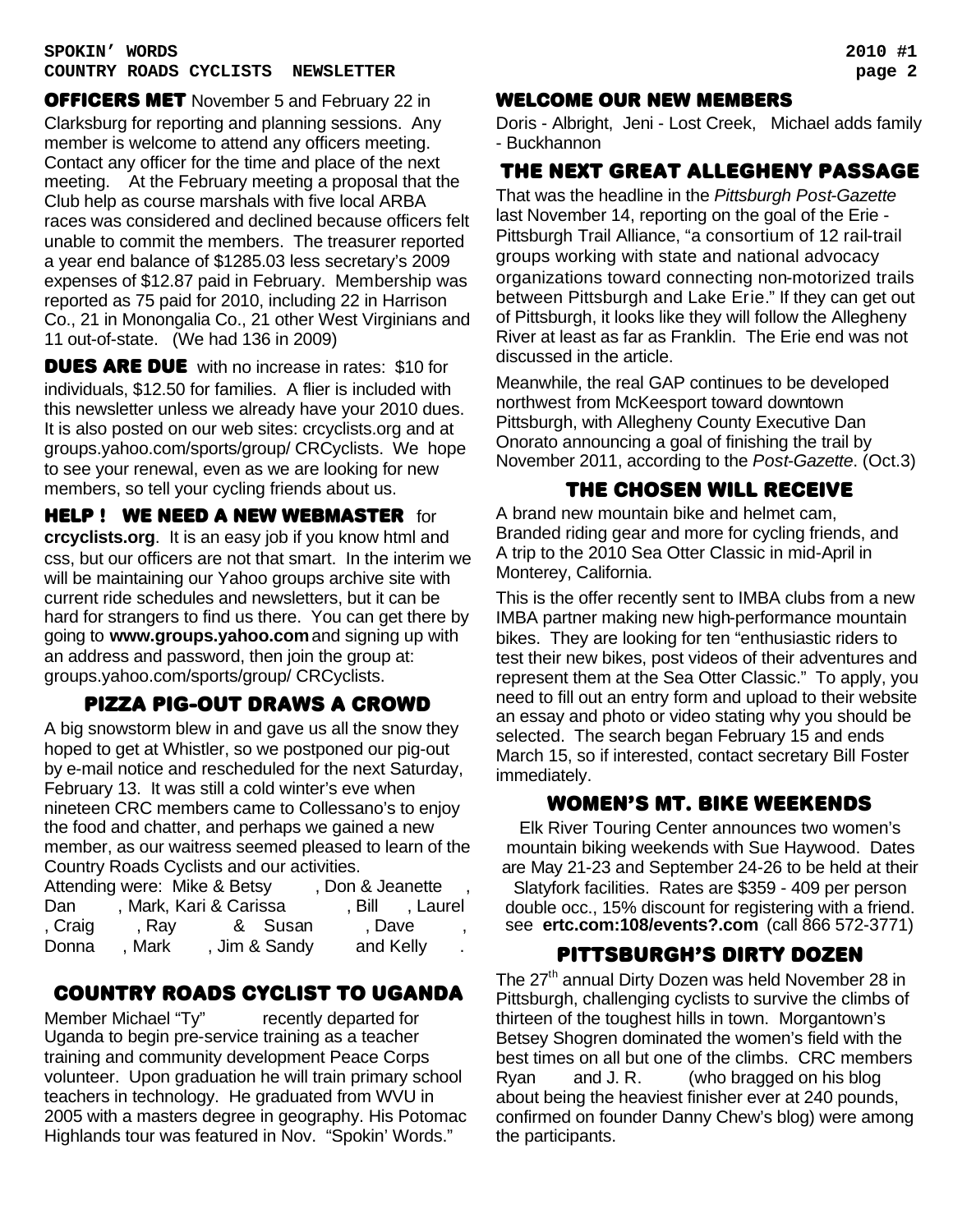**OFFICERS MET** November 5 and February 22 in Clarksburg for reporting and planning sessions. Any member is welcome to attend any officers meeting. Contact any officer for the time and place of the next meeting. At the February meeting a proposal that the Club help as course marshals with five local ARBA races was considered and declined because officers felt unable to commit the members. The treasurer reported a year end balance of \$1285.03 less secretary's 2009 expenses of \$12.87 paid in February. Membership was reported as 75 paid for 2010, including 22 in Harrison Co., 21 in Monongalia Co., 21 other West Virginians and 11 out-of-state. (We had 136 in 2009)

**DUES ARE DUE** with no increase in rates: \$10 for individuals, \$12.50 for families. A flier is included with this newsletter unless we already have your 2010 dues. It is also posted on our web sites: crcyclists.org and at groups.yahoo.com/sports/group/ CRCyclists. We hope to see your renewal, even as we are looking for new members, so tell your cycling friends about us.

**HELP ! WE NEED A NEW WEBMASTER for crcyclists.org**. It is an easy job if you know html and css, but our officers are not that smart. In the interim we will be maintaining our Yahoo groups archive site with current ride schedules and newsletters, but it can be hard for strangers to find us there. You can get there by going to **www.groups.yahoo.com** and signing up with an address and password, then join the group at: groups.yahoo.com/sports/group/ CRCyclists.

# pizza pig-OUT DRAWS A CROWD

A big snowstorm blew in and gave us all the snow they hoped to get at Whistler, so we postponed our pig-out by e-mail notice and rescheduled for the next Saturday, February 13. It was still a cold winter's eve when nineteen CRC members came to Collessano's to enjoy the food and chatter, and perhaps we gained a new member, as our waitress seemed pleased to learn of the Country Roads Cyclists and our activities.

|         | Attending were: Mike & Betsy |               | , Don & Jeanette |                 |
|---------|------------------------------|---------------|------------------|-----------------|
| Dan     | , Mark, Kari & Carissa       |               |                  | , Bill , Laurel |
| , Craig | , Ray                        | & Susan       | , Dave           |                 |
| Donna   | Mark                         | , Jim & Sandy | and Kelly        |                 |

# COUNTRY ROADS CYCLIST TO UGANDA

Member Michael "Ty" recently departed for Uganda to begin pre-service training as a teacher training and community development Peace Corps volunteer. Upon graduation he will train primary school teachers in technology. He graduated from WVU in 2005 with a masters degree in geography. His Potomac Highlands tour was featured in Nov. "Spokin' Words."

### WELCOME OUR NEW MEMBERS

Doris - Albright, Jeni - Lost Creek, Michael adds family - Buckhannon

# The next Great Allegheny Passage

That was the headline in the *Pittsburgh Post-Gazette* last November 14, reporting on the goal of the Erie - Pittsburgh Trail Alliance, "a consortium of 12 rail-trail groups working with state and national advocacy organizations toward connecting non-motorized trails between Pittsburgh and Lake Erie." If they can get out of Pittsburgh, it looks like they will follow the Allegheny River at least as far as Franklin. The Erie end was not discussed in the article.

Meanwhile, the real GAP continues to be developed northwest from McKeesport toward downtown Pittsburgh, with Allegheny County Executive Dan Onorato announcing a goal of finishing the trail by November 2011, according to the *Post-Gazette*. (Oct.3)

# THE CHOSEN WILL RECEIVE

A brand new mountain bike and helmet cam, Branded riding gear and more for cycling friends, and A trip to the 2010 Sea Otter Classic in mid-April in Monterey, California.

This is the offer recently sent to IMBA clubs from a new IMBA partner making new high-performance mountain bikes. They are looking for ten "enthusiastic riders to test their new bikes, post videos of their adventures and represent them at the Sea Otter Classic." To apply, you need to fill out an entry form and upload to their website an essay and photo or video stating why you should be selected. The search began February 15 and ends March 15, so if interested, contact secretary Bill Foster immediately.

# women's mt. bike weekends

Elk River Touring Center announces two women's mountain biking weekends with Sue Haywood. Dates are May 21-23 and September 24-26 to be held at their Slatyfork facilities. Rates are \$359 - 409 per person double occ., 15% discount for registering with a friend. see **ertc.com:108/events?.com** (call 866 572-3771)

# Pittsburgh's dirty dozen

The 27<sup>th</sup> annual Dirty Dozen was held November 28 in Pittsburgh, challenging cyclists to survive the climbs of thirteen of the toughest hills in town. Morgantown's Betsey Shogren dominated the women's field with the best times on all but one of the climbs. CRC members Ryan and J. R. (who bragged on his blog about being the heaviest finisher ever at 240 pounds, confirmed on founder Danny Chew's blog) were among the participants.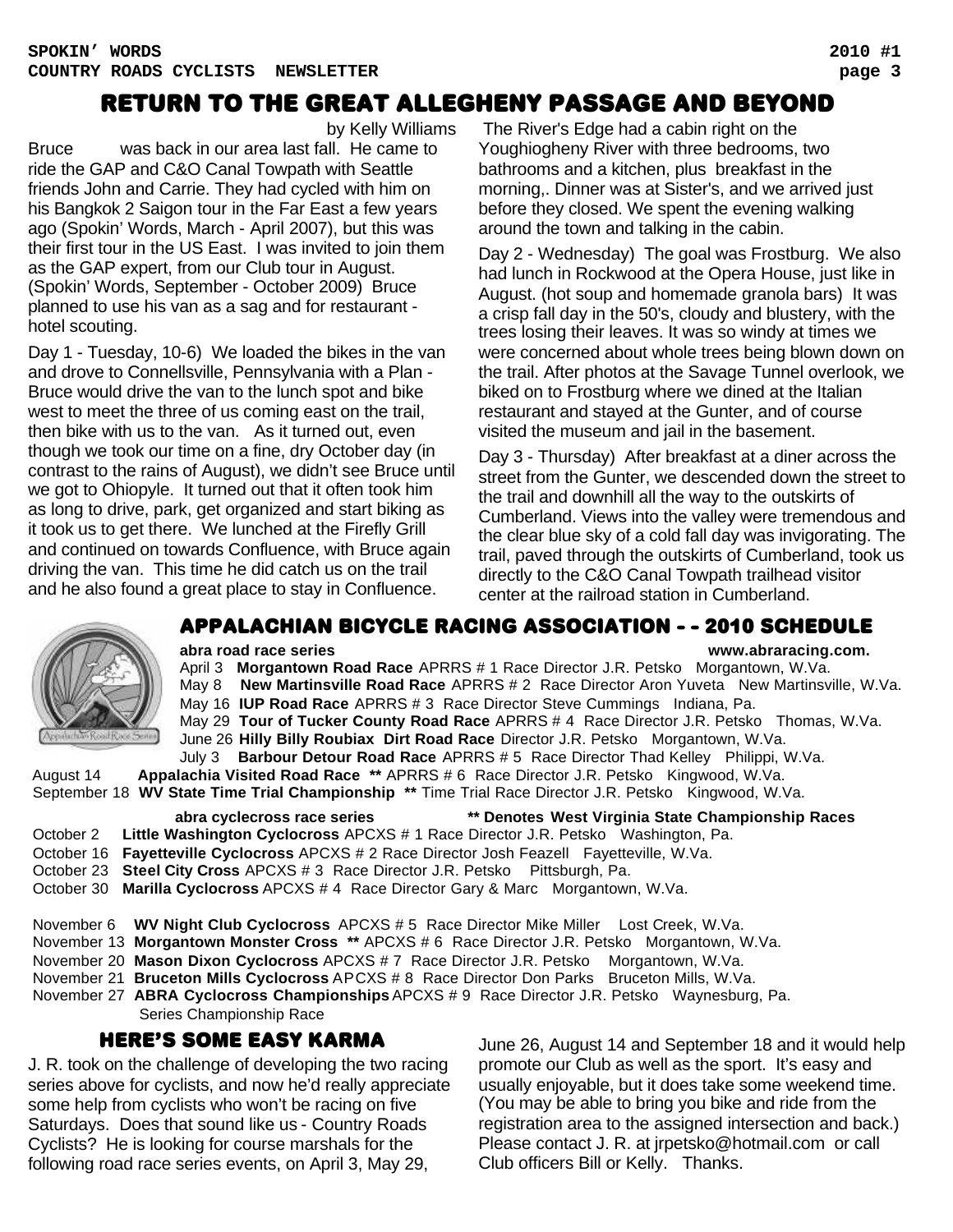# Return to the Great Allegheny Passage and Beyond

by Kelly Williams

Bruce was back in our area last fall. He came to ride the GAP and C&O Canal Towpath with Seattle friends John and Carrie. They had cycled with him on his Bangkok 2 Saigon tour in the Far East a few years ago (Spokin' Words, March - April 2007), but this was their first tour in the US East. I was invited to join them as the GAP expert, from our Club tour in August. (Spokin' Words, September - October 2009) Bruce planned to use his van as a sag and for restaurant hotel scouting.

Day 1 - Tuesday, 10-6) We loaded the bikes in the van and drove to Connellsville, Pennsylvania with a Plan - Bruce would drive the van to the lunch spot and bike west to meet the three of us coming east on the trail, then bike with us to the van. As it turned out, even though we took our time on a fine, dry October day (in contrast to the rains of August), we didn't see Bruce until we got to Ohiopyle. It turned out that it often took him as long to drive, park, get organized and start biking as it took us to get there. We lunched at the Firefly Grill and continued on towards Confluence, with Bruce again driving the van. This time he did catch us on the trail and he also found a great place to stay in Confluence.

 The River's Edge had a cabin right on the Youghiogheny River with three bedrooms, two bathrooms and a kitchen, plus breakfast in the morning,. Dinner was at Sister's, and we arrived just before they closed. We spent the evening walking around the town and talking in the cabin.

Day 2 - Wednesday) The goal was Frostburg. We also had lunch in Rockwood at the Opera House, just like in August. (hot soup and homemade granola bars) It was a crisp fall day in the 50's, cloudy and blustery, with the trees losing their leaves. It was so windy at times we were concerned about whole trees being blown down on the trail. After photos at the Savage Tunnel overlook, we biked on to Frostburg where we dined at the Italian restaurant and stayed at the Gunter, and of course visited the museum and jail in the basement.

Day 3 - Thursday) After breakfast at a diner across the street from the Gunter, we descended down the street to the trail and downhill all the way to the outskirts of Cumberland. Views into the valley were tremendous and the clear blue sky of a cold fall day was invigorating. The trail, paved through the outskirts of Cumberland, took us directly to the C&O Canal Towpath trailhead visitor center at the railroad station in Cumberland.

# **Voorbicham Road Race**

# APPALACHIAN BICYCLE RACING ASSOCIATION - - 2010 schedule

**abra road race series www.abraracing.com.** April 3 **Morgantown Road Race** APRRS # 1 Race Director J.R. Petsko Morgantown, W.Va. May 8 **New Martinsville Road Race** APRRS # 2 Race Director Aron Yuveta New Martinsville, W.Va. May 16 **IUP Road Race** APRRS # 3 Race Director Steve Cummings Indiana, Pa. May 29 **Tour of Tucker County Road Race** APRRS # 4 Race Director J.R. Petsko Thomas, W.Va. June 26 **Hilly Billy Roubiax Dirt Road Race** Director J.R. Petsko Morgantown, W.Va. July 3 **Barbour Detour Road Race** APRRS # 5 Race Director Thad Kelley Philippi, W.Va.

 August 14 **Appalachia Visited Road Race \*\*** APRRS # 6 Race Director J.R. Petsko Kingwood, W.Va. September 18 **WV State Time Trial Championship \*\*** Time Trial Race Director J.R. Petsko Kingwood, W.Va.

### **abra cyclecross race series \*\* Denotes West Virginia State Championship Races**

- October 2 **Little Washington Cyclocross** APCXS # 1 Race Director J.R. Petsko Washington, Pa.
- October 16 **Fayetteville Cyclocross** APCXS # 2 Race Director Josh Feazell Fayetteville, W.Va.
- October 23 **Steel City Cross** APCXS # 3 Race Director J.R. Petsko Pittsburgh, Pa.
- October 30 **Marilla Cyclocross** APCXS # 4 Race Director Gary & Marc Morgantown, W.Va.

|  |  |  | November 6 WV Night Club Cyclocross APCXS # 5 Race Director Mike Miller Lost Creek, W.Va. |  |
|--|--|--|-------------------------------------------------------------------------------------------|--|
|  |  |  |                                                                                           |  |

- November 13 **Morgantown Monster Cross \*\*** APCXS # 6 Race Director J.R. Petsko Morgantown, W.Va.
- November 20 **Mason Dixon Cyclocross** APCXS # 7 Race Director J.R. Petsko Morgantown, W.Va.
- November 21 **Bruceton Mills Cyclocross** APCXS # 8 Race Director Don Parks Bruceton Mills, W.Va.
- November 27 **ABRA Cyclocross Championships** APCXS # 9 Race Director J.R. Petsko Waynesburg, Pa. Series Championship Race

# HERE'S SOME EASY KARMA

J. R. took on the challenge of developing the two racing series above for cyclists, and now he'd really appreciate some help from cyclists who won't be racing on five Saturdays. Does that sound like us - Country Roads Cyclists? He is looking for course marshals for the following road race series events, on April 3, May 29,

June 26, August 14 and September 18 and it would help promote our Club as well as the sport. It's easy and usually enjoyable, but it does take some weekend time. (You may be able to bring you bike and ride from the registration area to the assigned intersection and back.) Please contact J. R. at jrpetsko@hotmail.com or call Club officers Bill or Kelly. Thanks.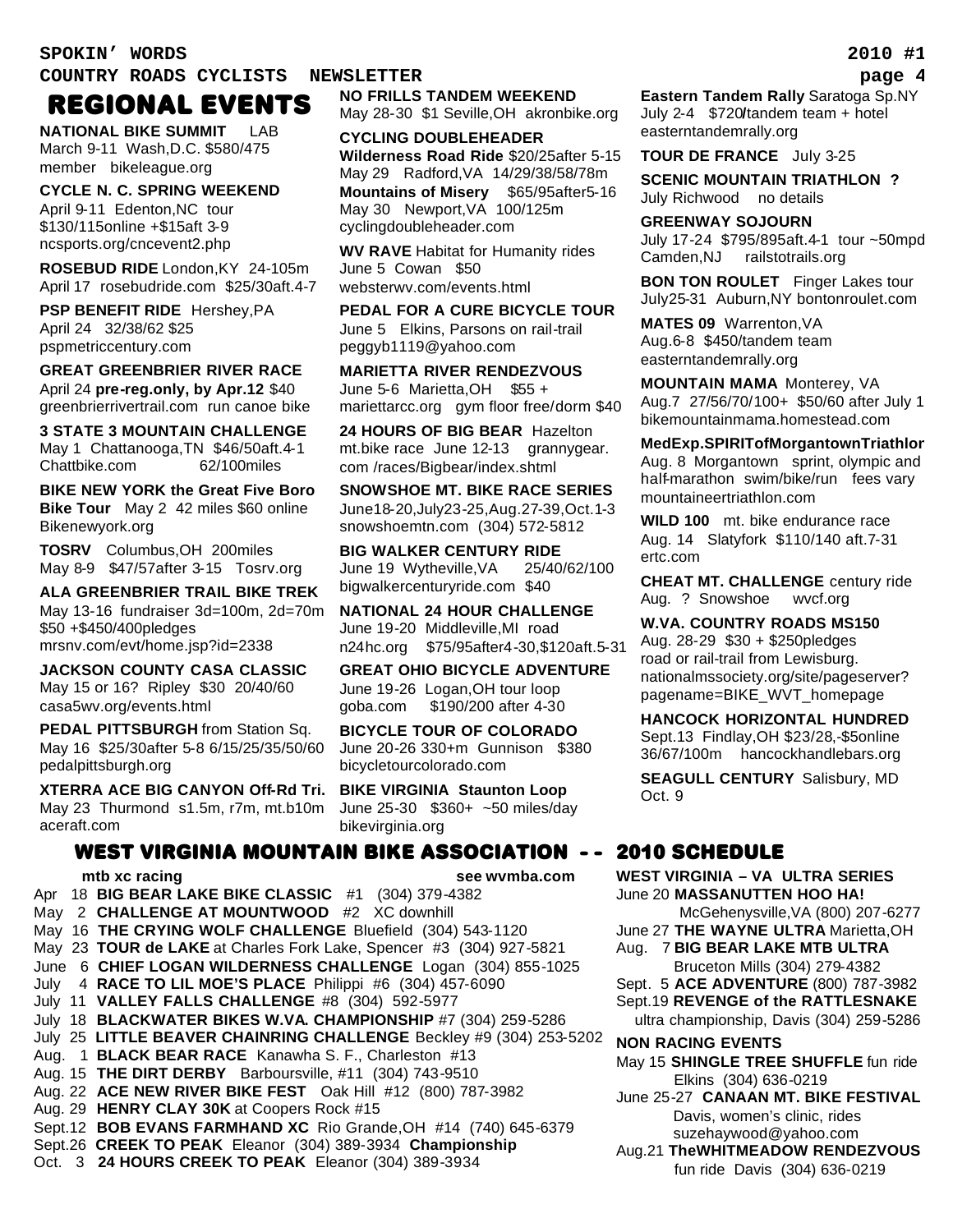### **COUNTRY ROADS CYCLISTS NEWSLETTER page 4**

# REGIONAL EVENTS

**NATIONAL BIKE SUMMIT** LAB March 9-11 Wash,D.C. \$580/475 member bikeleague.org

**CYCLE N. C. SPRING WEEKEND** April 9-11 Edenton,NC tour \$130/115online +\$15aft 3-9 ncsports.org/cncevent2.php

**ROSEBUD RIDE** London,KY 24-105m April 17 rosebudride.com \$25/30aft.4-7

**PSP BENEFIT RIDE** Hershey,PA April 24 32/38/62 \$25 pspmetriccentury.com

**GREAT GREENBRIER RIVER RACE** April 24 **pre-reg.only, by Apr.12** \$40 greenbrierrivertrail.com run canoe bike

**3 STATE 3 MOUNTAIN CHALLENGE** May 1 Chattanooga,TN \$46/50aft.4-1 Chattbike.com 62/100miles

**BIKE NEW YORK the Great Five Boro Bike Tour** May 2 42 miles \$60 online Bikenewyork.org

**TOSRV** Columbus,OH 200miles May 8-9 \$47/57after 3-15 Tosrv.org

**ALA GREENBRIER TRAIL BIKE TREK** May 13-16 fundraiser 3d=100m, 2d=70m \$50 +\$450/400pledges mrsnv.com/evt/home.jsp?id=2338

**JACKSON COUNTY CASA CLASSIC** May 15 or 16? Ripley \$30 20/40/60 casa5wv.org/events.html

**PEDAL PITTSBURGH** from Station Sq. May 16 \$25/30after 5-8 6/15/25/35/50/60 pedalpittsburgh.org

**XTERRA ACE BIG CANYON Off-Rd Tri.** May 23 Thurmond s1.5m, r7m, mt.b10m aceraft.com

**NO FRILLS TANDEM WEEKEND** May 28-30 \$1 Seville,OH akronbike.org

**CYCLING DOUBLEHEADER Wilderness Road Ride** \$20/25after 5-15 May 29 Radford,VA14/29/38/58/78m **Mountains of Misery** \$65/95after5-16 May 30 Newport,VA 100/125m cyclingdoubleheader.com

**WV RAVE** Habitat for Humanity rides June 5 Cowan \$50 websterwv.com/events.html

**PEDAL FOR A CURE BICYCLE TOUR** June 5 Elkins, Parsons on rail-trail peggyb1119@yahoo.com

**MARIETTA RIVER RENDEZVOUS** June 5-6 Marietta,OH \$55 + mariettarcc.org gym floor free/dorm \$40

**24 HOURS OF BIG BEAR** Hazelton mt.bike race June 12-13 grannygear. com /races/Bigbear/index.shtml

**SNOWSHOE MT. BIKE RACE SERIES** June18-20,July23-25,Aug.27-39,Oct.1-3 snowshoemtn.com (304) 572-5812

**BIG WALKER CENTURY RIDE** June 19 Wytheville,VA 25/40/62/100 bigwalkercenturyride.com \$40

**NATIONAL 24 HOUR CHALLENGE** June 19-20 Middleville,MI road n24hc.org \$75/95after4-30,\$120aft.5-31

**GREAT OHIO BICYCLE ADVENTURE** June 19-26 Logan,OH tour loop goba.com \$190/200 after 4-30

**BICYCLE TOUR OF COLORADO** June 20-26 330+m Gunnison \$380 bicycletourcolorado.com

**BIKE VIRGINIA Staunton Loop** June 25-30 \$360+ ~50 miles/day bikevirginia.org

### WEST VIRGINIA MOUNTAIN BIKE ASSOCIATION - -

### **mtb xc racing see wvmba.com**

Apr 18 **BIG BEAR LAKE BIKE CLASSIC** #1 (304) 379-4382 May 2 **CHALLENGE AT MOUNTWOOD** #2 XC downhill May 16 **THE CRYING WOLF CHALLENGE** Bluefield (304) 543-1120 May 23 **TOUR de LAKE** at Charles Fork Lake, Spencer #3 (304) 927-5821 June 6 **CHIEF LOGAN WILDERNESS CHALLENGE** Logan (304) 855-1025 July 4 **RACE TO LIL MOE'S PLACE** Philippi #6 (304) 457-6090 July 11 **VALLEY FALLS CHALLENGE** #8 (304) 592-5977 July 18 **BLACKWATER BIKES W.VA. CHAMPIONSHIP** #7 (304) 259-5286 July 25 **LITTLE BEAVER CHAINRING CHALLENGE** Beckley #9 (304) 253-5202 Aug. 1 **BLACK BEAR RACE** Kanawha S. F., Charleston #13 Aug. 15 **THE DIRT DERBY** Barboursville, #11 (304) 743-9510 Aug. 22 **ACE NEW RIVER BIKE FEST** Oak Hill #12 (800) 787-3982 Aug. 29 **HENRY CLAY 30K** at Coopers Rock #15 Sept.12 **BOB EVANS FARMHAND XC** Rio Grande,OH #14 (740) 645-6379 Sept.26 **CREEK TO PEAK** Eleanor (304) 389-3934 **Championship** Oct. 3 **24 HOURS CREEK TO PEAK** Eleanor (304) 389-3934

**Eastern Tandem Rally** Saratoga Sp.NY July 2-4 \$720**/**tandem team + hotel easterntandemrally.org

**TOUR DE FRANCE** July 3-25

**SCENIC MOUNTAIN TRIATHLON ?** July Richwood no details

**GREENWAY SOJOURN** July 17-24 \$795/895aft.4-1 tour ~50mpd Camden,NJ railstotrails.org

**BON TON ROULET** Finger Lakes tour July25-31 Auburn,NY bontonroulet.com

**MATES 09** Warrenton,VA Aug.6-8 \$450/tandem team easterntandemrally.org

**MOUNTAIN MAMA** Monterey, VA Aug.7 27/56/70/100+ \$50/60 after July 1 bikemountainmama.homestead.com

**MedExp.SPIRITofMorgantownTriathlon** Aug. 8 Morgantown sprint, olympic and half-marathon swim/bike/run fees vary mountaineertriathlon.com

**WILD 100** mt. bike endurance race Aug. 14 Slatyfork \$110/140 aft.7-31 ertc.com

**CHEAT MT. CHALLENGE** century ride Aug. ? Snowshoe wvcf.org

**W.VA. COUNTRY ROADS MS150** Aug. 28-29 \$30 + \$250pledges road or rail-trail from Lewisburg. nationalmssociety.org/site/pageserver? pagename=BIKE\_WVT\_homepage

**HANCOCK HORIZONTAL HUNDRED** Sept.13 Findlay,OH \$23/28,-\$5online 36/67/100m hancockhandlebars.org

**SEAGULL CENTURY** Salisbury, MD Oct. 9

### 2010 SCHEDULE

**WEST VIRGINIA – VA ULTRA SERIES** June 20 **MASSANUTTEN HOO HA!** 

McGehenysville,VA (800) 207-6277

- June 27 **THE WAYNE ULTRA** Marietta,OH
- Aug. 7 **BIG BEAR LAKE MTB ULTRA**  Bruceton Mills (304) 279-4382

Sept. 5 **ACE ADVENTURE** (800) 787-3982

Sept.19 **REVENGE of the RATTLESNAKE** ultra championship, Davis (304) 259-5286

**NON RACING EVENTS**

May 15 **SHINGLE TREE SHUFFLE** fun ride Elkins (304) 636-0219

June 25-27 **CANAAN MT. BIKE FESTIVAL** Davis, women's clinic, rides suzehaywood@yahoo.com

Aug.21 **TheWHITMEADOW RENDEZVOUS**  fun ride Davis (304) 636-0219